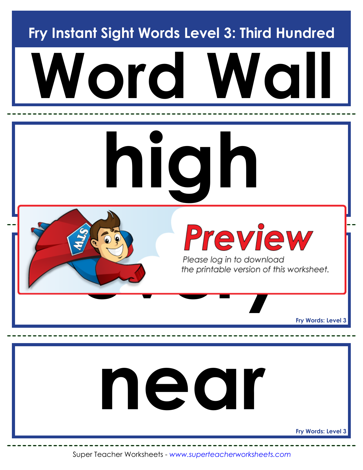**Fry Instant Sight Words Level 3: Third Hundred**



Super Teacher Worksheets - *www.superteacherworksheets.com*

**Fry Words: Level 3**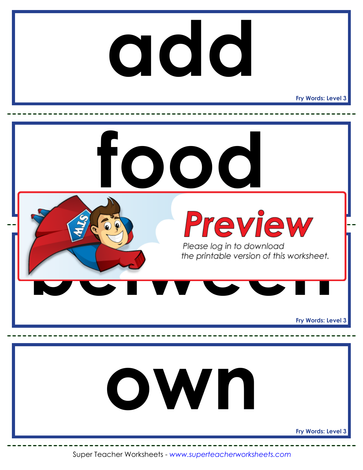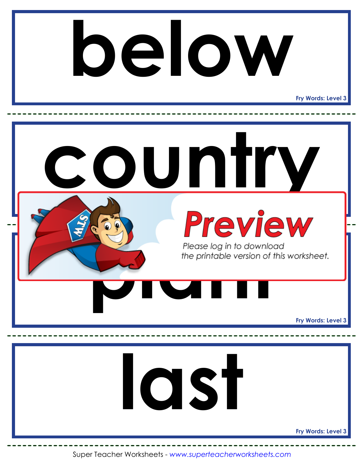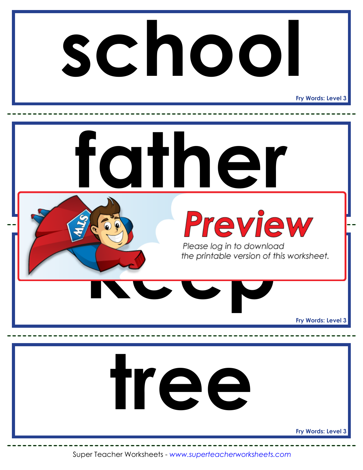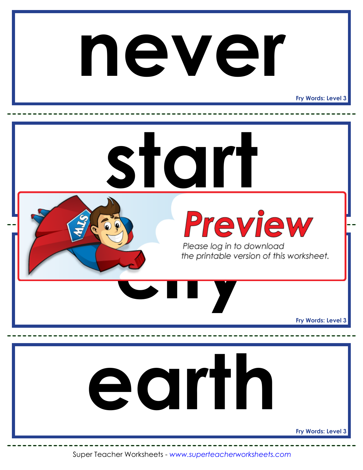#### **never**

**Fry Words: Level 3**

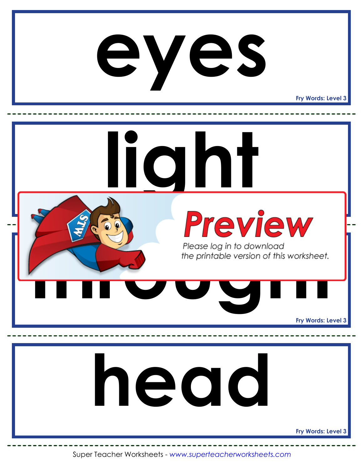#### **eyes**

**Fry Words: Level 3**

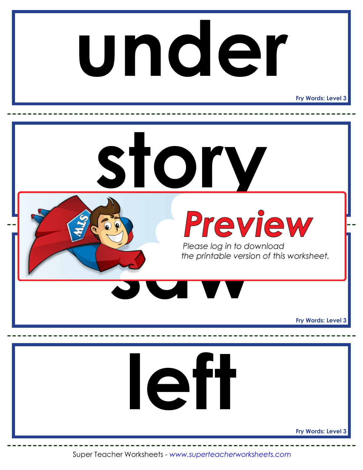# **under**

**Fry Words: Level 3**

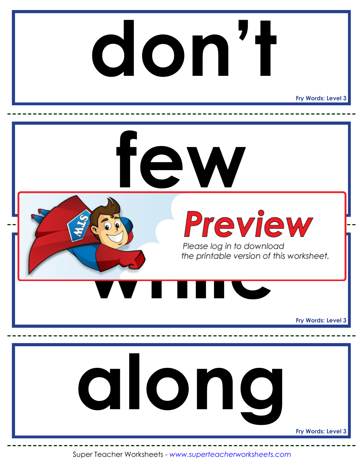#### **Fry Words: Level 3 don't**

**Preview Fry Words: Level 3 Fry Words: Level 3 few** Please log in to downloce<br>the printable version of the<br>**With the principal control along**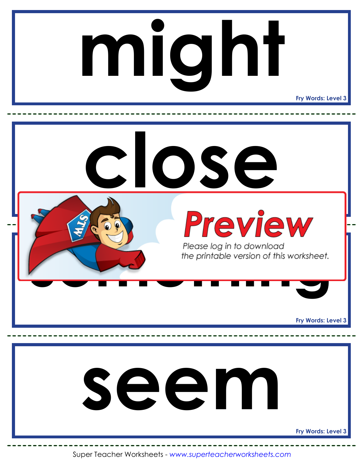# **might**

**Fry Words: Level 3**

**Preview Fry Words: Level 3 Fry Words: Level 3 close** Please log in to download<br>the printable version of this worksheet. **seem**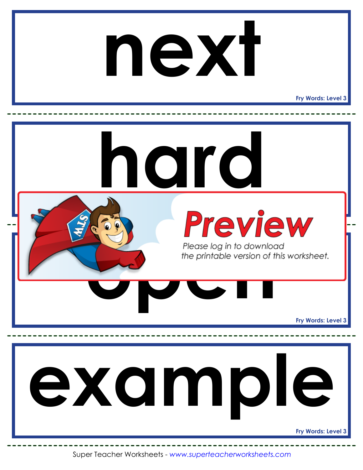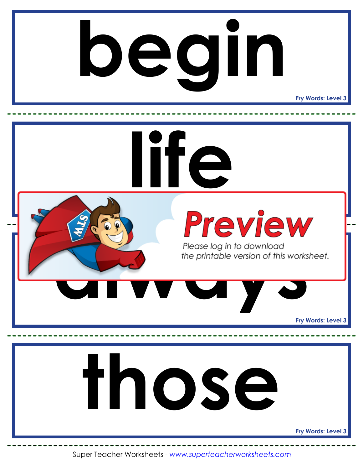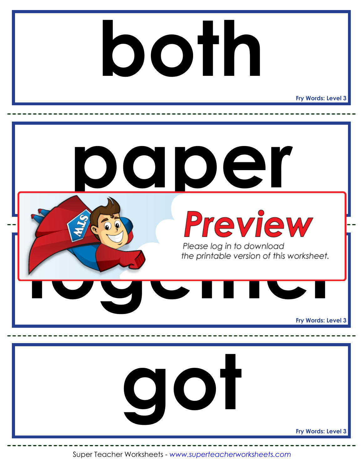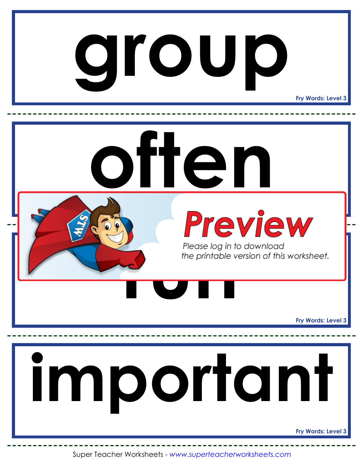## **group**

**Fry Words: Level 3**

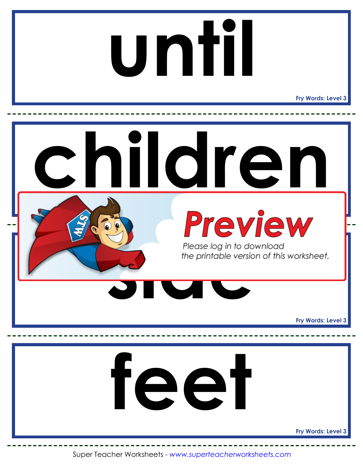# **until**

**Fry Words: Level 3**

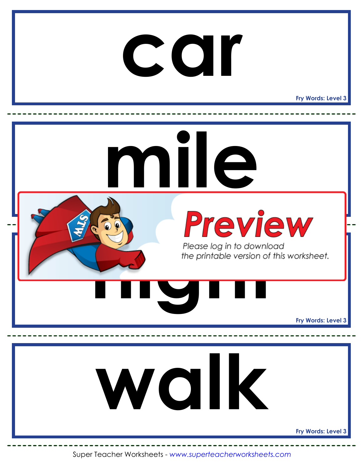

**Fry Words: Level 3**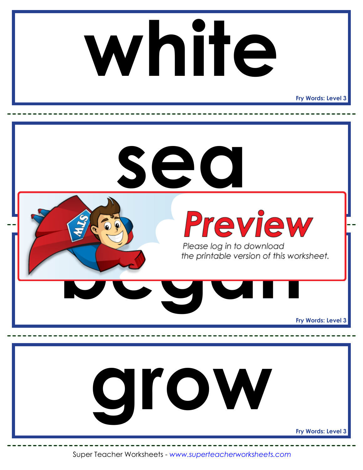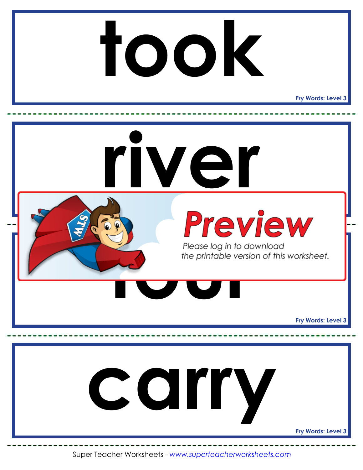

**Fry Words: Level 3**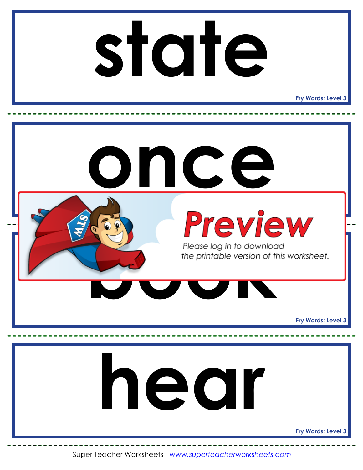## **state**

**Fry Words: Level 3**

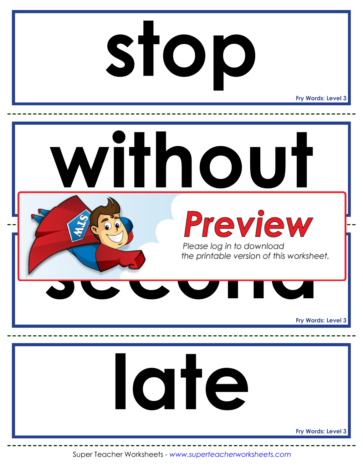# **stop**

**Fry Words: Level 3**

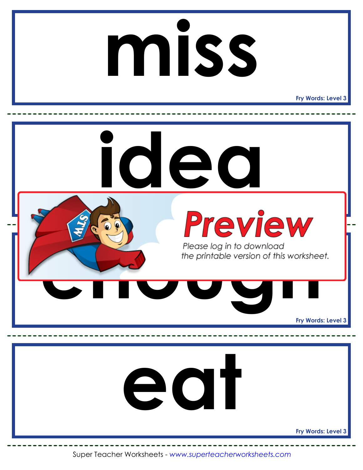# **miss**

**Fry Words: Level 3**

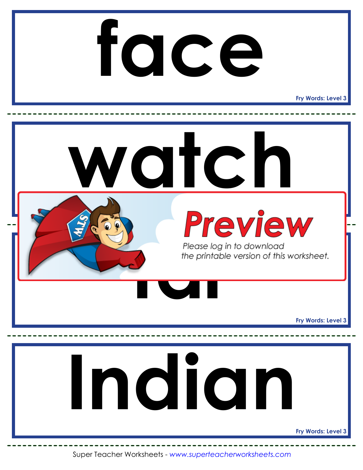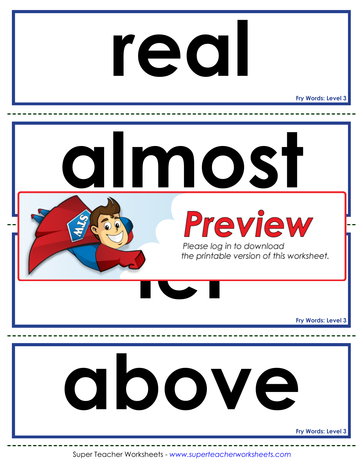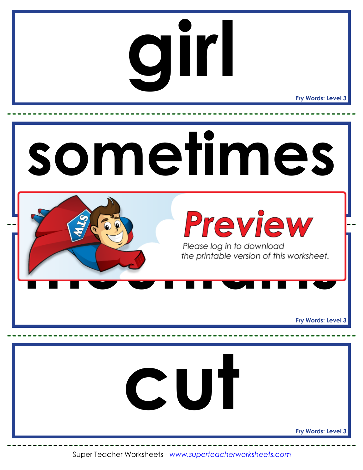# **girl**

**Fry Words: Level 3**

![](_page_22_Picture_2.jpeg)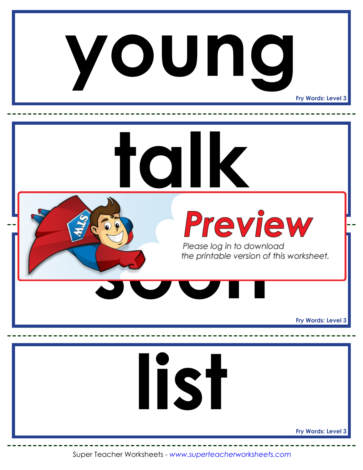![](_page_23_Picture_0.jpeg)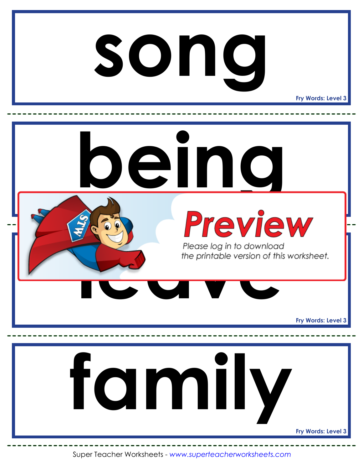#### **song**

**Fry Words: Level 3**

![](_page_24_Picture_2.jpeg)